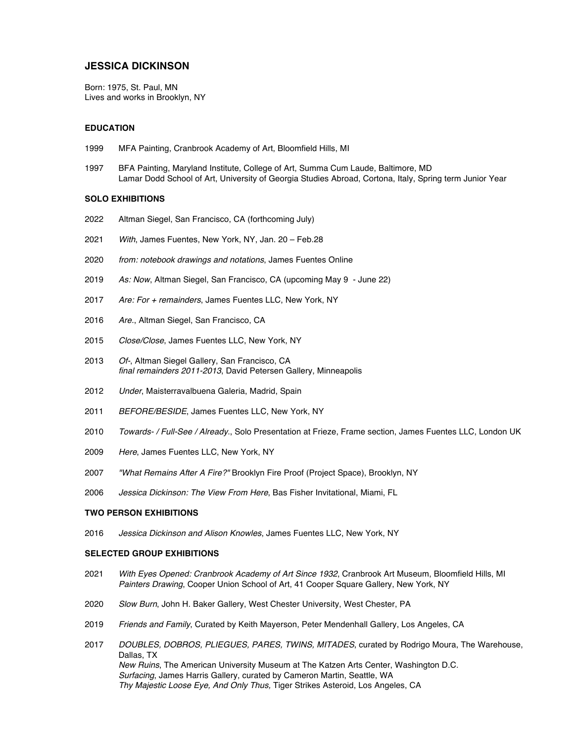# **JESSICA DICKINSON**

Born: 1975, St. Paul, MN Lives and works in Brooklyn, NY

## **EDUCATION**

- 1999 MFA Painting, Cranbrook Academy of Art, Bloomfield Hills, MI
- 1997 BFA Painting, Maryland Institute, College of Art, Summa Cum Laude, Baltimore, MD Lamar Dodd School of Art, University of Georgia Studies Abroad, Cortona, Italy, Spring term Junior Year

### **SOLO EXHIBITIONS**

- 2022 Altman Siegel, San Francisco, CA (forthcoming July)
- 2021 *With*, James Fuentes, New York, NY, Jan. 20 Feb.28
- 2020 *from: notebook drawings and notations*, James Fuentes Online
- 2019 *As: Now*, Altman Siegel, San Francisco, CA (upcoming May 9 June 22)
- 2017 *Are: For + remainders*, James Fuentes LLC, New York, NY
- 2016 *Are.*, Altman Siegel, San Francisco, CA
- 2015 *Close/Close*, James Fuentes LLC, New York, NY
- 2013 *Of-*, Altman Siegel Gallery, San Francisco, CA *final remainders 2011-2013*, David Petersen Gallery, Minneapolis
- 2012 *Under*, Maisterravalbuena Galeria, Madrid, Spain
- 2011 *BEFORE/BESIDE*, James Fuentes LLC, New York, NY
- 2010 *Towards- / Full-See / Already*., Solo Presentation at Frieze, Frame section, James Fuentes LLC, London UK
- 2009 *Here*, James Fuentes LLC, New York, NY
- 2007 *"What Remains After A Fire?"* Brooklyn Fire Proof (Project Space), Brooklyn, NY
- 2006 *Jessica Dickinson: The View From Here*, Bas Fisher Invitational, Miami, FL

### **TWO PERSON EXHIBITIONS**

2016 *Jessica Dickinson and Alison Knowles*, James Fuentes LLC, New York, NY

# **SELECTED GROUP EXHIBITIONS**

- 2021 *With Eyes Opened: Cranbrook Academy of Art Since 1932*, Cranbrook Art Museum, Bloomfield Hills, MI *Painters Drawing*, Cooper Union School of Art, 41 Cooper Square Gallery, New York, NY
- 2020 *Slow Burn*, John H. Baker Gallery, West Chester University, West Chester, PA
- 2019 *Friends and Family*, Curated by Keith Mayerson, Peter Mendenhall Gallery, Los Angeles, CA
- 2017 *DOUBLES, DOBROS, PLIEGUES, PARES, TWINS, MITADES*, curated by Rodrigo Moura, The Warehouse, Dallas, TX *New Ruins*, The American University Museum at The Katzen Arts Center, Washington D.C. *Surfacing*, James Harris Gallery, curated by Cameron Martin, Seattle, WA *Thy Majestic Loose Eye, And Only Thus,* Tiger Strikes Asteroid, Los Angeles, CA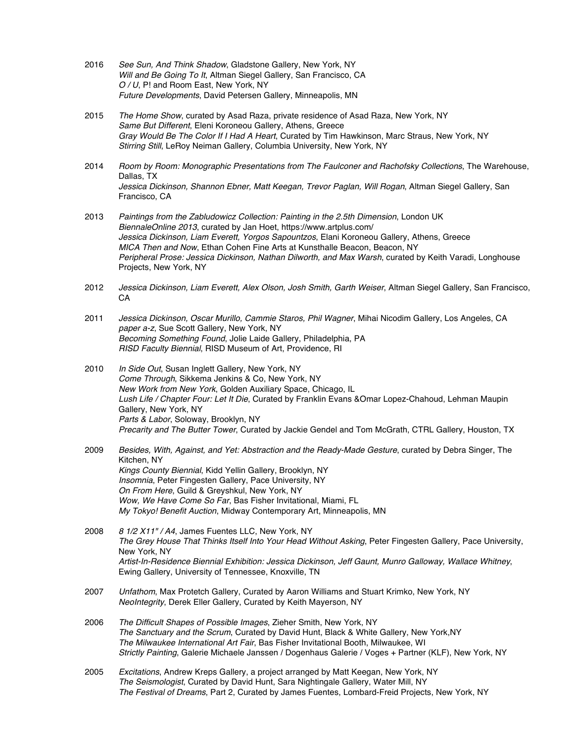- 2016 *See Sun, And Think Shadow*, Gladstone Gallery, New York, NY *Will and Be Going To It*, Altman Siegel Gallery, San Francisco, CA *O / U*, P! and Room East, New York, NY *Future Developments*, David Petersen Gallery, Minneapolis, MN
- 2015 *The Home Show*, curated by Asad Raza, private residence of Asad Raza, New York, NY *Same But Different*, Eleni Koroneou Gallery, Athens, Greece *Gray Would Be The Color If I Had A Heart*, Curated by Tim Hawkinson, Marc Straus, New York, NY *Stirring Still*, LeRoy Neiman Gallery, Columbia University, New York, NY
- 2014 *Room by Room: Monographic Presentations from The Faulconer and Rachofsky Collections*, The Warehouse, Dallas, TX *Jessica Dickinson, Shannon Ebner, Matt Keegan, Trevor Paglan, Will Rogan*, Altman Siegel Gallery, San Francisco, CA
- 2013 *Paintings from the Zabludowicz Collection: Painting in the 2.5th Dimension*, London UK *BiennaleOnline 2013*, curated by Jan Hoet, https://www.artplus.com/ *Jessica Dickinson, Liam Everett, Yorgos Sapountzos*, Elani Koroneou Gallery, Athens, Greece *MICA Then and Now*, Ethan Cohen Fine Arts at Kunsthalle Beacon, Beacon, NY *Peripheral Prose: Jessica Dickinson, Nathan Dilworth, and Max Warsh*, curated by Keith Varadi, Longhouse Projects, New York, NY
- 2012 *Jessica Dickinson, Liam Everett, Alex Olson, Josh Smith, Garth Weiser*, Altman Siegel Gallery, San Francisco, CA
- 2011 *Jessica Dickinson, Oscar Murillo, Cammie Staros, Phil Wagner*, Mihai Nicodim Gallery, Los Angeles, CA *paper a-z*, Sue Scott Gallery, New York, NY *Becoming Something Found*, Jolie Laide Gallery, Philadelphia, PA *RISD Faculty Biennial*, RISD Museum of Art, Providence, RI
- 2010 *In Side Out*, Susan Inglett Gallery, New York, NY *Come Through*, Sikkema Jenkins & Co, New York, NY *New Work from New York*, Golden Auxiliary Space, Chicago, IL *Lush Life / Chapter Four: Let It Die*, Curated by Franklin Evans &Omar Lopez-Chahoud, Lehman Maupin Gallery, New York, NY *Parts & Labor*, Soloway, Brooklyn, NY *Precarity and The Butter Tower*, Curated by Jackie Gendel and Tom McGrath, CTRL Gallery, Houston, TX
- 2009 *Besides, With, Against, and Yet: Abstraction and the Ready-Made Gesture*, curated by Debra Singer, The Kitchen, NY *Kings County Biennial*, Kidd Yellin Gallery, Brooklyn, NY *Insomnia*, Peter Fingesten Gallery, Pace University, NY *On From Here*, Guild & Greyshkul, New York, NY *Wow, We Have Come So Far*, Bas Fisher Invitational, Miami, FL *My Tokyo! Benefit Auction*, Midway Contemporary Art, Minneapolis, MN
- 2008 *8 1/2 X11" / A4*, James Fuentes LLC, New York, NY *The Grey House That Thinks Itself Into Your Head Without Asking*, Peter Fingesten Gallery, Pace University, New York, NY *Artist-In-Residence Biennial Exhibition: Jessica Dickinson, Jeff Gaunt, Munro Galloway, Wallace Whitney*, Ewing Gallery, University of Tennessee, Knoxville, TN
- 2007 *Unfathom*, Max Protetch Gallery, Curated by Aaron Williams and Stuart Krimko, New York, NY *NeoIntegrity*, Derek Eller Gallery, Curated by Keith Mayerson, NY
- 2006 *The Difficult Shapes of Possible Images*, Zieher Smith, New York, NY *The Sanctuary and the Scrum*, Curated by David Hunt, Black & White Gallery, New York,NY *The Milwaukee International Art Fair*, Bas Fisher Invitational Booth, Milwaukee, WI *Strictly Painting*, Galerie Michaele Janssen / Dogenhaus Galerie / Voges + Partner (KLF), New York, NY
- 2005 *Excitations*, Andrew Kreps Gallery, a project arranged by Matt Keegan, New York, NY *The Seismologist*, Curated by David Hunt, Sara Nightingale Gallery, Water Mill, NY *The Festival of Dreams*, Part 2, Curated by James Fuentes, Lombard-Freid Projects, New York, NY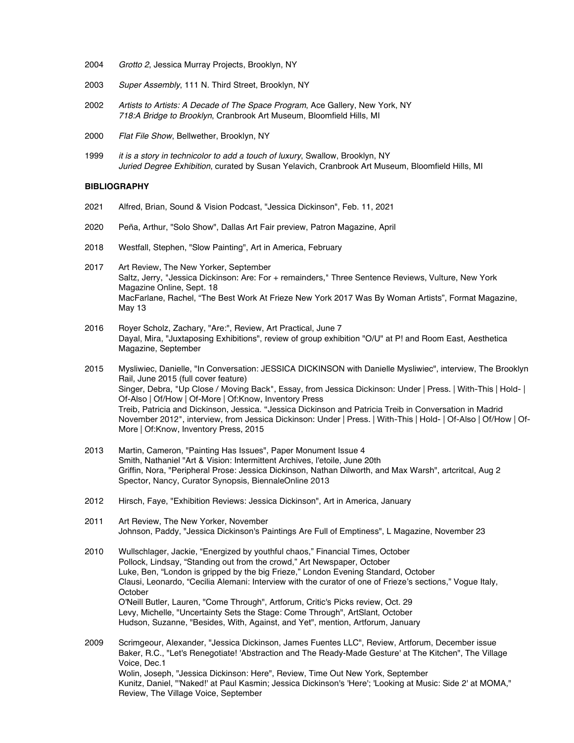- 2004 *Grotto 2*, Jessica Murray Projects, Brooklyn, NY
- 2003 *Super Assembly*, 111 N. Third Street, Brooklyn, NY
- 2002 *Artists to Artists: A Decade of The Space Program*, Ace Gallery, New York, NY *718:A Bridge to Brooklyn*, Cranbrook Art Museum, Bloomfield Hills, MI
- 2000 *Flat File Show*, Bellwether, Brooklyn, NY
- 1999 *it is a story in technicolor to add a touch of luxury*, Swallow, Brooklyn, NY *Juried Degree Exhibition*, curated by Susan Yelavich, Cranbrook Art Museum, Bloomfield Hills, MI

## **BIBLIOGRAPHY**

- 2021 Alfred, Brian, Sound & Vision Podcast, "Jessica Dickinson", Feb. 11, 2021
- 2020 Peña, Arthur, "Solo Show", Dallas Art Fair preview, Patron Magazine, April
- 2018 Westfall, Stephen, "Slow Painting", Art in America, February
- 2017 Art Review, The New Yorker, September Saltz, Jerry, "Jessica Dickinson: Are: For + remainders," Three Sentence Reviews, Vulture, New York Magazine Online, Sept. 18 MacFarlane, Rachel, "The Best Work At Frieze New York 2017 Was By Woman Artists", Format Magazine, May 13
- 2016 Royer Scholz, Zachary, "Are:", Review, Art Practical, June 7 Dayal, Mira, "Juxtaposing Exhibitions", review of group exhibition "O/U" at P! and Room East, Aesthetica Magazine, September
- 2015 Mysliwiec, Danielle, "In Conversation: JESSICA DICKINSON with Danielle Mysliwiec", interview, The Brooklyn Rail, June 2015 (full cover feature) Singer, Debra, "Up Close / Moving Back", Essay, from Jessica Dickinson: Under | Press. | With-This | Hold- | Of-Also | Of/How | Of-More | Of:Know, Inventory Press Treib, Patricia and Dickinson, Jessica. "Jessica Dickinson and Patricia Treib in Conversation in Madrid November 2012", interview, from Jessica Dickinson: Under | Press. | With-This | Hold- | Of-Also | Of/How | Of-More | Of:Know, Inventory Press, 2015
- 2013 Martin, Cameron, "Painting Has Issues", Paper Monument Issue 4 Smith, Nathaniel "Art & Vision: Intermittent Archives, l'etoile, June 20th Griffin, Nora, "Peripheral Prose: Jessica Dickinson, Nathan Dilworth, and Max Warsh", artcritcal, Aug 2 Spector, Nancy, Curator Synopsis, BiennaleOnline 2013
- 2012 Hirsch, Faye, "Exhibition Reviews: Jessica Dickinson", Art in America, January
- 2011 Art Review, The New Yorker, November Johnson, Paddy, "Jessica Dickinson's Paintings Are Full of Emptiness", L Magazine, November 23
- 2010 Wullschlager, Jackie, "Energized by youthful chaos," Financial Times, October Pollock, Lindsay, "Standing out from the crowd," Art Newspaper, October Luke, Ben, "London is gripped by the big Frieze," London Evening Standard, October Clausi, Leonardo, "Cecilia Alemani: Interview with the curator of one of Frieze's sections," Vogue Italy, **October** O'Neill Butler, Lauren, "Come Through", Artforum, Critic's Picks review, Oct. 29 Levy, Michelle, "Uncertainty Sets the Stage: Come Through", ArtSlant, October Hudson, Suzanne, "Besides, With, Against, and Yet", mention, Artforum, January

2009 Scrimgeour, Alexander, "Jessica Dickinson, James Fuentes LLC", Review, Artforum, December issue Baker, R.C., "Let's Renegotiate! 'Abstraction and The Ready-Made Gesture' at The Kitchen", The Village Voice, Dec.1 Wolin, Joseph, "Jessica Dickinson: Here", Review, Time Out New York, September Kunitz, Daniel, "'Naked!' at Paul Kasmin; Jessica Dickinson's 'Here'; 'Looking at Music: Side 2' at MOMA," Review, The Village Voice, September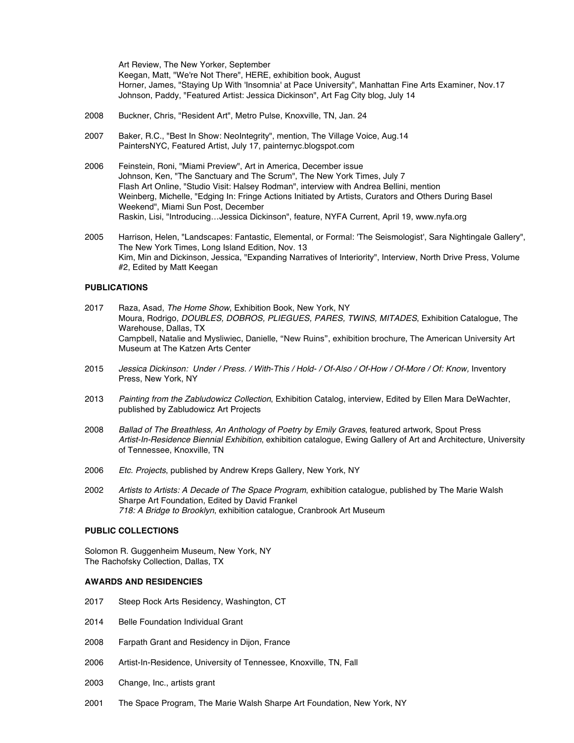Art Review, The New Yorker, September Keegan, Matt, "We're Not There", HERE, exhibition book, August Horner, James, "Staying Up With 'Insomnia' at Pace University", Manhattan Fine Arts Examiner, Nov.17 Johnson, Paddy, "Featured Artist: Jessica Dickinson", Art Fag City blog, July 14

- 2008 Buckner, Chris, "Resident Art", Metro Pulse, Knoxville, TN, Jan. 24
- 2007 Baker, R.C., "Best In Show: NeoIntegrity", mention, The Village Voice, Aug.14 PaintersNYC, Featured Artist, July 17, painternyc.blogspot.com
- 2006 Feinstein, Roni, "Miami Preview", Art in America, December issue Johnson, Ken, "The Sanctuary and The Scrum", The New York Times, July 7 Flash Art Online, "Studio Visit: Halsey Rodman", interview with Andrea Bellini, mention Weinberg, Michelle, "Edging In: Fringe Actions Initiated by Artists, Curators and Others During Basel Weekend", Miami Sun Post, December Raskin, Lisi, "Introducing…Jessica Dickinson", feature, NYFA Current, April 19, www.nyfa.org
- 2005 Harrison, Helen, "Landscapes: Fantastic, Elemental, or Formal: 'The Seismologist', Sara Nightingale Gallery", The New York Times, Long Island Edition, Nov. 13 Kim, Min and Dickinson, Jessica, "Expanding Narratives of Interiority", Interview, North Drive Press, Volume #2, Edited by Matt Keegan

## **PUBLICATIONS**

- 2017 Raza, Asad, *The Home Show*, Exhibition Book, New York, NY Moura, Rodrigo, *DOUBLES, DOBROS, PLIEGUES, PARES, TWINS, MITADES*, Exhibition Catalogue, The Warehouse, Dallas, TX Campbell, Natalie and Mysliwiec, Danielle, "New Ruins", exhibition brochure, The American University Art Museum at The Katzen Arts Center
- 2015 *Jessica Dickinson: Under / Press. / With-This / Hold- / Of-Also / Of-How / Of-More / Of: Know,* Inventory Press, New York, NY
- 2013 *Painting from the Zabludowicz Collection*, Exhibition Catalog, interview, Edited by Ellen Mara DeWachter, published by Zabludowicz Art Projects
- 2008 *Ballad of The Breathless, An Anthology of Poetry by Emily Graves*, featured artwork, Spout Press *Artist-In-Residence Biennial Exhibition*, exhibition catalogue, Ewing Gallery of Art and Architecture, University of Tennessee, Knoxville, TN
- 2006 *Etc. Projects*, published by Andrew Kreps Gallery, New York, NY
- 2002 *Artists to Artists: A Decade of The Space Program*, exhibition catalogue, published by The Marie Walsh Sharpe Art Foundation, Edited by David Frankel *718: A Bridge to Brooklyn*, exhibition catalogue, Cranbrook Art Museum

# **PUBLIC COLLECTIONS**

Solomon R. Guggenheim Museum, New York, NY The Rachofsky Collection, Dallas, TX

### **AWARDS AND RESIDENCIES**

- 2017 Steep Rock Arts Residency, Washington, CT
- 2014 Belle Foundation Individual Grant
- 2008 Farpath Grant and Residency in Dijon, France
- 2006 Artist-In-Residence, University of Tennessee, Knoxville, TN, Fall
- 2003 Change, Inc., artists grant
- 2001 The Space Program, The Marie Walsh Sharpe Art Foundation, New York, NY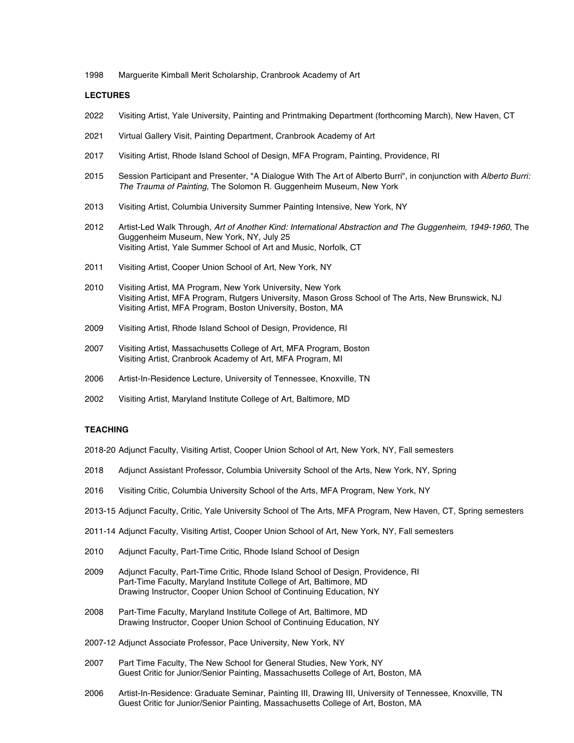1998 Marguerite Kimball Merit Scholarship, Cranbrook Academy of Art

### **LECTURES**

- 2022 Visiting Artist, Yale University, Painting and Printmaking Department (forthcoming March), New Haven, CT
- 2021 Virtual Gallery Visit, Painting Department, Cranbrook Academy of Art
- 2017 Visiting Artist, Rhode Island School of Design, MFA Program, Painting, Providence, RI
- 2015 Session Participant and Presenter, "A Dialogue With The Art of Alberto Burri", in conjunction with *Alberto Burri: The Trauma of Painting*, The Solomon R. Guggenheim Museum, New York
- 2013 Visiting Artist, Columbia University Summer Painting Intensive, New York, NY
- 2012 Artist-Led Walk Through, *Art of Another Kind: International Abstraction and The Guggenheim, 1949-1960*, The Guggenheim Museum, New York, NY, July 25 Visiting Artist, Yale Summer School of Art and Music, Norfolk, CT
- 2011 Visiting Artist, Cooper Union School of Art, New York, NY
- 2010 Visiting Artist, MA Program, New York University, New York Visiting Artist, MFA Program, Rutgers University, Mason Gross School of The Arts, New Brunswick, NJ Visiting Artist, MFA Program, Boston University, Boston, MA
- 2009 Visiting Artist, Rhode Island School of Design, Providence, RI
- 2007 Visiting Artist, Massachusetts College of Art, MFA Program, Boston Visiting Artist, Cranbrook Academy of Art, MFA Program, MI
- 2006 Artist-In-Residence Lecture, University of Tennessee, Knoxville, TN
- 2002 Visiting Artist, Maryland Institute College of Art, Baltimore, MD

# **TEACHING**

- 2018-20 Adjunct Faculty, Visiting Artist, Cooper Union School of Art, New York, NY, Fall semesters
- 2018 Adjunct Assistant Professor, Columbia University School of the Arts, New York, NY, Spring
- 2016 Visiting Critic, Columbia University School of the Arts, MFA Program, New York, NY
- 2013-15 Adjunct Faculty, Critic, Yale University School of The Arts, MFA Program, New Haven, CT, Spring semesters
- 2011-14 Adjunct Faculty, Visiting Artist, Cooper Union School of Art, New York, NY, Fall semesters
- 2010 Adjunct Faculty, Part-Time Critic, Rhode Island School of Design
- 2009 Adjunct Faculty, Part-Time Critic, Rhode Island School of Design, Providence, RI Part-Time Faculty, Maryland Institute College of Art, Baltimore, MD Drawing Instructor, Cooper Union School of Continuing Education, NY
- 2008 Part-Time Faculty, Maryland Institute College of Art, Baltimore, MD Drawing Instructor, Cooper Union School of Continuing Education, NY
- 2007-12 Adjunct Associate Professor, Pace University, New York, NY
- 2007 Part Time Faculty, The New School for General Studies, New York, NY Guest Critic for Junior/Senior Painting, Massachusetts College of Art, Boston, MA
- 2006 Artist-In-Residence: Graduate Seminar, Painting III, Drawing III, University of Tennessee, Knoxville, TN Guest Critic for Junior/Senior Painting, Massachusetts College of Art, Boston, MA